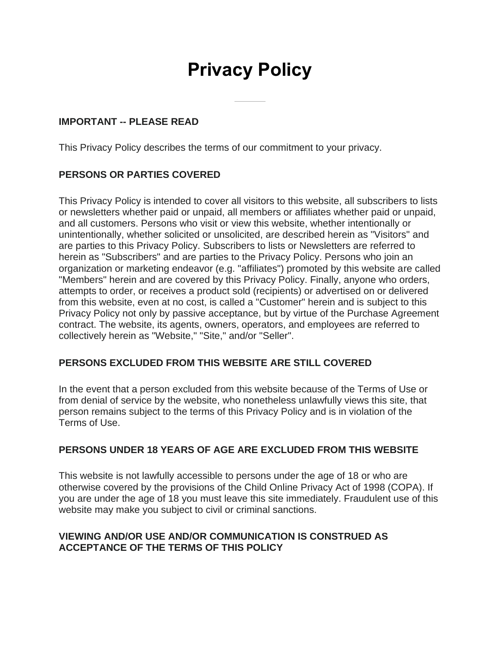# **Privacy Policy**

## **IMPORTANT -- PLEASE READ**

This Privacy Policy describes the terms of our commitment to your privacy.

## **PERSONS OR PARTIES COVERED**

This Privacy Policy is intended to cover all visitors to this website, all subscribers to lists or newsletters whether paid or unpaid, all members or affiliates whether paid or unpaid, and all customers. Persons who visit or view this website, whether intentionally or unintentionally, whether solicited or unsolicited, are described herein as "Visitors" and are parties to this Privacy Policy. Subscribers to lists or Newsletters are referred to herein as "Subscribers" and are parties to the Privacy Policy. Persons who join an organization or marketing endeavor (e.g. "affiliates") promoted by this website are called "Members" herein and are covered by this Privacy Policy. Finally, anyone who orders, attempts to order, or receives a product sold (recipients) or advertised on or delivered from this website, even at no cost, is called a "Customer" herein and is subject to this Privacy Policy not only by passive acceptance, but by virtue of the Purchase Agreement contract. The website, its agents, owners, operators, and employees are referred to collectively herein as "Website," "Site," and/or "Seller".

## **PERSONS EXCLUDED FROM THIS WEBSITE ARE STILL COVERED**

In the event that a person excluded from this website because of the Terms of Use or from denial of service by the website, who nonetheless unlawfully views this site, that person remains subject to the terms of this Privacy Policy and is in violation of the Terms of Use.

## **PERSONS UNDER 18 YEARS OF AGE ARE EXCLUDED FROM THIS WEBSITE**

This website is not lawfully accessible to persons under the age of 18 or who are otherwise covered by the provisions of the Child Online Privacy Act of 1998 (COPA). If you are under the age of 18 you must leave this site immediately. Fraudulent use of this website may make you subject to civil or criminal sanctions.

## **VIEWING AND/OR USE AND/OR COMMUNICATION IS CONSTRUED AS ACCEPTANCE OF THE TERMS OF THIS POLICY**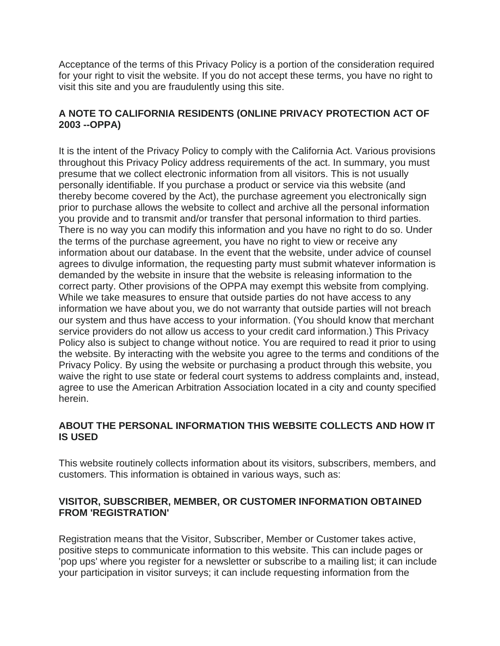Acceptance of the terms of this Privacy Policy is a portion of the consideration required for your right to visit the website. If you do not accept these terms, you have no right to visit this site and you are fraudulently using this site.

## **A NOTE TO CALIFORNIA RESIDENTS (ONLINE PRIVACY PROTECTION ACT OF 2003 --OPPA)**

It is the intent of the Privacy Policy to comply with the California Act. Various provisions throughout this Privacy Policy address requirements of the act. In summary, you must presume that we collect electronic information from all visitors. This is not usually personally identifiable. If you purchase a product or service via this website (and thereby become covered by the Act), the purchase agreement you electronically sign prior to purchase allows the website to collect and archive all the personal information you provide and to transmit and/or transfer that personal information to third parties. There is no way you can modify this information and you have no right to do so. Under the terms of the purchase agreement, you have no right to view or receive any information about our database. In the event that the website, under advice of counsel agrees to divulge information, the requesting party must submit whatever information is demanded by the website in insure that the website is releasing information to the correct party. Other provisions of the OPPA may exempt this website from complying. While we take measures to ensure that outside parties do not have access to any information we have about you, we do not warranty that outside parties will not breach our system and thus have access to your information. (You should know that merchant service providers do not allow us access to your credit card information.) This Privacy Policy also is subject to change without notice. You are required to read it prior to using the website. By interacting with the website you agree to the terms and conditions of the Privacy Policy. By using the website or purchasing a product through this website, you waive the right to use state or federal court systems to address complaints and, instead, agree to use the American Arbitration Association located in a city and county specified herein.

# **ABOUT THE PERSONAL INFORMATION THIS WEBSITE COLLECTS AND HOW IT IS USED**

This website routinely collects information about its visitors, subscribers, members, and customers. This information is obtained in various ways, such as:

## **VISITOR, SUBSCRIBER, MEMBER, OR CUSTOMER INFORMATION OBTAINED FROM 'REGISTRATION'**

Registration means that the Visitor, Subscriber, Member or Customer takes active, positive steps to communicate information to this website. This can include pages or 'pop ups' where you register for a newsletter or subscribe to a mailing list; it can include your participation in visitor surveys; it can include requesting information from the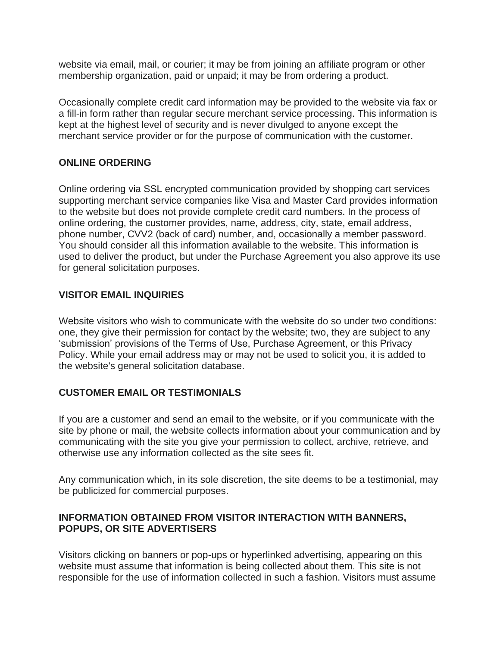website via email, mail, or courier; it may be from joining an affiliate program or other membership organization, paid or unpaid; it may be from ordering a product.

Occasionally complete credit card information may be provided to the website via fax or a fill-in form rather than regular secure merchant service processing. This information is kept at the highest level of security and is never divulged to anyone except the merchant service provider or for the purpose of communication with the customer.

## **ONLINE ORDERING**

Online ordering via SSL encrypted communication provided by shopping cart services supporting merchant service companies like Visa and Master Card provides information to the website but does not provide complete credit card numbers. In the process of online ordering, the customer provides, name, address, city, state, email address, phone number, CVV2 (back of card) number, and, occasionally a member password. You should consider all this information available to the website. This information is used to deliver the product, but under the Purchase Agreement you also approve its use for general solicitation purposes.

## **VISITOR EMAIL INQUIRIES**

Website visitors who wish to communicate with the website do so under two conditions: one, they give their permission for contact by the website; two, they are subject to any 'submission' provisions of the Terms of Use, Purchase Agreement, or this Privacy Policy. While your email address may or may not be used to solicit you, it is added to the website's general solicitation database.

#### **CUSTOMER EMAIL OR TESTIMONIALS**

If you are a customer and send an email to the website, or if you communicate with the site by phone or mail, the website collects information about your communication and by communicating with the site you give your permission to collect, archive, retrieve, and otherwise use any information collected as the site sees fit.

Any communication which, in its sole discretion, the site deems to be a testimonial, may be publicized for commercial purposes.

## **INFORMATION OBTAINED FROM VISITOR INTERACTION WITH BANNERS, POPUPS, OR SITE ADVERTISERS**

Visitors clicking on banners or pop-ups or hyperlinked advertising, appearing on this website must assume that information is being collected about them. This site is not responsible for the use of information collected in such a fashion. Visitors must assume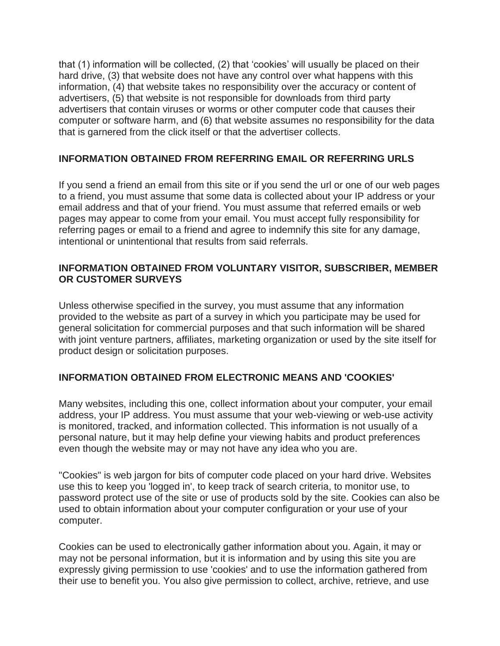that (1) information will be collected, (2) that 'cookies' will usually be placed on their hard drive, (3) that website does not have any control over what happens with this information, (4) that website takes no responsibility over the accuracy or content of advertisers, (5) that website is not responsible for downloads from third party advertisers that contain viruses or worms or other computer code that causes their computer or software harm, and (6) that website assumes no responsibility for the data that is garnered from the click itself or that the advertiser collects.

#### **INFORMATION OBTAINED FROM REFERRING EMAIL OR REFERRING URLS**

If you send a friend an email from this site or if you send the url or one of our web pages to a friend, you must assume that some data is collected about your IP address or your email address and that of your friend. You must assume that referred emails or web pages may appear to come from your email. You must accept fully responsibility for referring pages or email to a friend and agree to indemnify this site for any damage, intentional or unintentional that results from said referrals.

#### **INFORMATION OBTAINED FROM VOLUNTARY VISITOR, SUBSCRIBER, MEMBER OR CUSTOMER SURVEYS**

Unless otherwise specified in the survey, you must assume that any information provided to the website as part of a survey in which you participate may be used for general solicitation for commercial purposes and that such information will be shared with joint venture partners, affiliates, marketing organization or used by the site itself for product design or solicitation purposes.

#### **INFORMATION OBTAINED FROM ELECTRONIC MEANS AND 'COOKIES'**

Many websites, including this one, collect information about your computer, your email address, your IP address. You must assume that your web-viewing or web-use activity is monitored, tracked, and information collected. This information is not usually of a personal nature, but it may help define your viewing habits and product preferences even though the website may or may not have any idea who you are.

"Cookies" is web jargon for bits of computer code placed on your hard drive. Websites use this to keep you 'logged in', to keep track of search criteria, to monitor use, to password protect use of the site or use of products sold by the site. Cookies can also be used to obtain information about your computer configuration or your use of your computer.

Cookies can be used to electronically gather information about you. Again, it may or may not be personal information, but it is information and by using this site you are expressly giving permission to use 'cookies' and to use the information gathered from their use to benefit you. You also give permission to collect, archive, retrieve, and use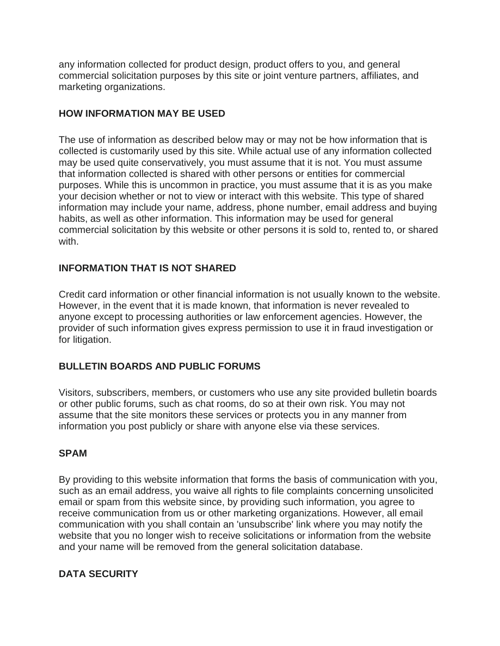any information collected for product design, product offers to you, and general commercial solicitation purposes by this site or joint venture partners, affiliates, and marketing organizations.

## **HOW INFORMATION MAY BE USED**

The use of information as described below may or may not be how information that is collected is customarily used by this site. While actual use of any information collected may be used quite conservatively, you must assume that it is not. You must assume that information collected is shared with other persons or entities for commercial purposes. While this is uncommon in practice, you must assume that it is as you make your decision whether or not to view or interact with this website. This type of shared information may include your name, address, phone number, email address and buying habits, as well as other information. This information may be used for general commercial solicitation by this website or other persons it is sold to, rented to, or shared with.

## **INFORMATION THAT IS NOT SHARED**

Credit card information or other financial information is not usually known to the website. However, in the event that it is made known, that information is never revealed to anyone except to processing authorities or law enforcement agencies. However, the provider of such information gives express permission to use it in fraud investigation or for litigation.

## **BULLETIN BOARDS AND PUBLIC FORUMS**

Visitors, subscribers, members, or customers who use any site provided bulletin boards or other public forums, such as chat rooms, do so at their own risk. You may not assume that the site monitors these services or protects you in any manner from information you post publicly or share with anyone else via these services.

#### **SPAM**

By providing to this website information that forms the basis of communication with you, such as an email address, you waive all rights to file complaints concerning unsolicited email or spam from this website since, by providing such information, you agree to receive communication from us or other marketing organizations. However, all email communication with you shall contain an 'unsubscribe' link where you may notify the website that you no longer wish to receive solicitations or information from the website and your name will be removed from the general solicitation database.

## **DATA SECURITY**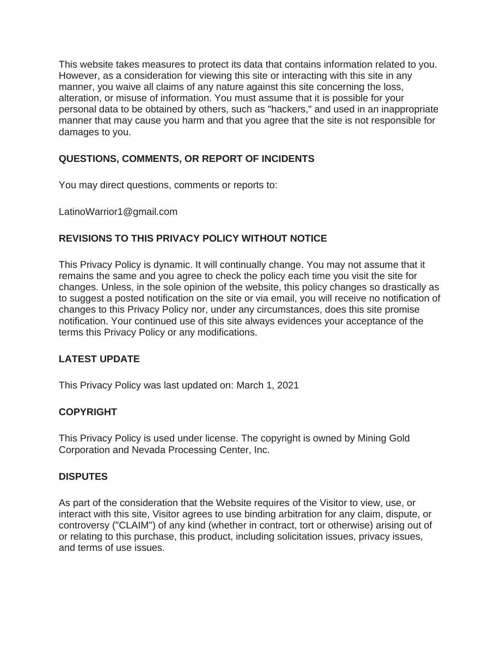This website takes measures to protect its data that contains information related to you. However, as a consideration for viewing this site or interacting with this site in any manner, you waive all claims of any nature against this site concerning the loss, alteration, or misuse of information. You must assume that it is possible for your personal data to be obtained by others, such as "hackers," and used in an inappropriate manner that may cause you harm and that you agree that the site is not responsible for damages to you.

# **QUESTIONS, COMMENTS, OR REPORT OF INCIDENTS**

You may direct questions, comments or reports to:

LatinoWarrior1@gmail.com

# **REVISIONS TO THIS PRIVACY POLICY WITHOUT NOTICE**

This Privacy Policy is dynamic. It will continually change. You may not assume that it remains the same and you agree to check the policy each time you visit the site for changes. Unless, in the sole opinion of the website, this policy changes so drastically as to suggest a posted notification on the site or via email, you will receive no notification of changes to this Privacy Policy nor, under any circumstances, does this site promise notification. Your continued use of this site always evidences your acceptance of the terms this Privacy Policy or any modifications.

# **LATEST UPDATE**

This Privacy Policy was last updated on: March 1, 2021

# **COPYRIGHT**

This Privacy Policy is used under license. The copyright is owned by Mining Gold Corporation and Nevada Processing Center, Inc.

## **DISPUTES**

As part of the consideration that the Website requires of the Visitor to view, use, or interact with this site, Visitor agrees to use binding arbitration for any claim, dispute, or controversy ("CLAIM") of any kind (whether in contract, tort or otherwise) arising out of or relating to this purchase, this product, including solicitation issues, privacy issues, and terms of use issues.